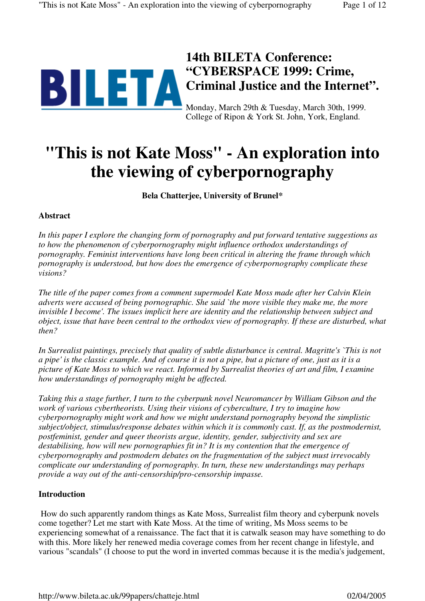

# **14th BILETA Conference: "CYBERSPACE 1999: Crime, Criminal Justice and the Internet".**

Monday, March 29th & Tuesday, March 30th, 1999. College of Ripon & York St. John, York, England.

# **"This is not Kate Moss" - An exploration into the viewing of cyberpornography**

**Bela Chatterjee, University of Brunel***\**

# **Abstract**

*In this paper I explore the changing form of pornography and put forward tentative suggestions as to how the phenomenon of cyberpornography might influence orthodox understandings of pornography. Feminist interventions have long been critical in altering the frame through which pornography is understood, but how does the emergence of cyberpornography complicate these visions?*

*The title of the paper comes from a comment supermodel Kate Moss made after her Calvin Klein adverts were accused of being pornographic. She said `the more visible they make me, the more invisible I become'. The issues implicit here are identity and the relationship between subject and object, issue that have been central to the orthodox view of pornography. If these are disturbed, what then?*

*In Surrealist paintings, precisely that quality of subtle disturbance is central. Magritte's `This is not a pipe' is the classic example. And of course it is not a pipe, but a picture of one, just as it is a picture of Kate Moss to which we react. Informed by Surrealist theories of art and film, I examine how understandings of pornography might be affected.*

*Taking this a stage further, I turn to the cyberpunk novel Neuromancer by William Gibson and the work of various cybertheorists. Using their visions of cyberculture, I try to imagine how cyberpornography might work and how we might understand pornography beyond the simplistic subject/object, stimulus/response debates within which it is commonly cast. If, as the postmodernist, postfeminist, gender and queer theorists argue, identity, gender, subjectivity and sex are destabilising, how will new pornographies fit in? It is my contention that the emergence of cyberpornography and postmodern debates on the fragmentation of the subject must irrevocably complicate our understanding of pornography. In turn, these new understandings may perhaps provide a way out of the anti-censorship/pro-censorship impasse.*

# **Introduction**

 How do such apparently random things as Kate Moss, Surrealist film theory and cyberpunk novels come together? Let me start with Kate Moss. At the time of writing, Ms Moss seems to be experiencing somewhat of a renaissance. The fact that it is catwalk season may have something to do with this. More likely her renewed media coverage comes from her recent change in lifestyle, and various "scandals" (I choose to put the word in inverted commas because it is the media's judgement,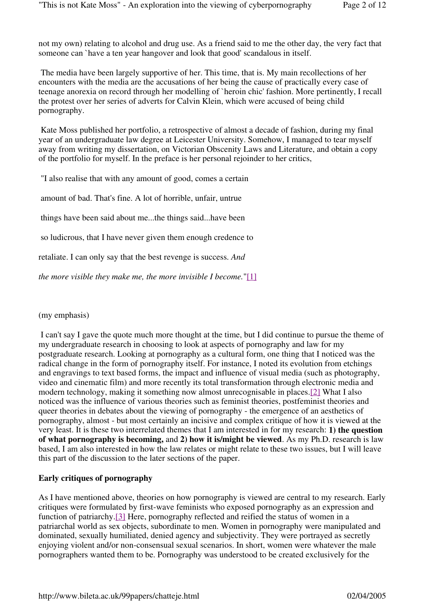not my own) relating to alcohol and drug use. As a friend said to me the other day, the very fact that someone can `have a ten year hangover and look that good' scandalous in itself.

 The media have been largely supportive of her. This time, that is. My main recollections of her encounters with the media are the accusations of her being the cause of practically every case of teenage anorexia on record through her modelling of `heroin chic' fashion. More pertinently, I recall the protest over her series of adverts for Calvin Klein, which were accused of being child pornography.

 Kate Moss published her portfolio, a retrospective of almost a decade of fashion, during my final year of an undergraduate law degree at Leicester University. Somehow, I managed to tear myself away from writing my dissertation, on Victorian Obscenity Laws and Literature, and obtain a copy of the portfolio for myself. In the preface is her personal rejoinder to her critics,

"I also realise that with any amount of good, comes a certain

amount of bad. That's fine. A lot of horrible, unfair, untrue

things have been said about me...the things said...have been

so ludicrous, that I have never given them enough credence to

retaliate. I can only say that the best revenge is success. *And*

*the more visible they make me, the more invisible I become.*"[1]

(my emphasis)

 I can't say I gave the quote much more thought at the time, but I did continue to pursue the theme of my undergraduate research in choosing to look at aspects of pornography and law for my postgraduate research. Looking at pornography as a cultural form, one thing that I noticed was the radical change in the form of pornography itself. For instance, I noted its evolution from etchings and engravings to text based forms, the impact and influence of visual media (such as photography, video and cinematic film) and more recently its total transformation through electronic media and modern technology, making it something now almost unrecognisable in places.[2] What I also noticed was the influence of various theories such as feminist theories, postfeminist theories and queer theories in debates about the viewing of pornography - the emergence of an aesthetics of pornography, almost - but most certainly an incisive and complex critique of how it is viewed at the very least. It is these two interrelated themes that I am interested in for my research: **1) the question of what pornography is becoming,** and **2) how it is/might be viewed**. As my Ph.D. research is law based, I am also interested in how the law relates or might relate to these two issues, but I will leave this part of the discussion to the later sections of the paper.

# **Early critiques of pornography**

As I have mentioned above, theories on how pornography is viewed are central to my research. Early critiques were formulated by first-wave feminists who exposed pornography as an expression and function of patriarchy.[3] Here, pornography reflected and reified the status of women in a patriarchal world as sex objects, subordinate to men. Women in pornography were manipulated and dominated, sexually humiliated, denied agency and subjectivity. They were portrayed as secretly enjoying violent and/or non-consensual sexual scenarios. In short, women were whatever the male pornographers wanted them to be. Pornography was understood to be created exclusively for the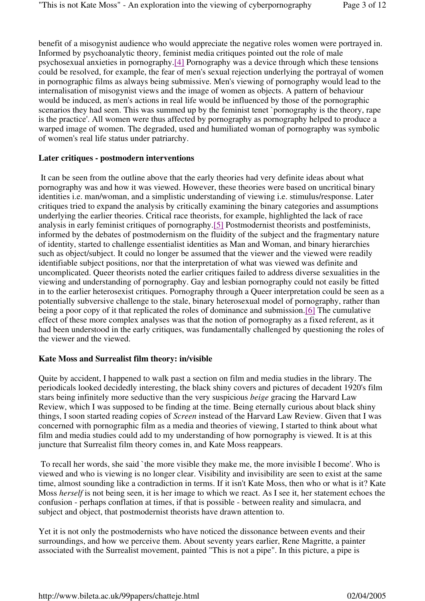benefit of a misogynist audience who would appreciate the negative roles women were portrayed in. Informed by psychoanalytic theory, feminist media critiques pointed out the role of male psychosexual anxieties in pornography.[4] Pornography was a device through which these tensions could be resolved, for example, the fear of men's sexual rejection underlying the portrayal of women in pornographic films as always being submissive. Men's viewing of pornography would lead to the internalisation of misogynist views and the image of women as objects. A pattern of behaviour would be induced, as men's actions in real life would be influenced by those of the pornographic scenarios they had seen. This was summed up by the feminist tenet `pornography is the theory, rape is the practice'. All women were thus affected by pornography as pornography helped to produce a warped image of women. The degraded, used and humiliated woman of pornography was symbolic of women's real life status under patriarchy.

#### **Later critiques - postmodern interventions**

 It can be seen from the outline above that the early theories had very definite ideas about what pornography was and how it was viewed. However, these theories were based on uncritical binary identities i.e. man/woman, and a simplistic understanding of viewing i.e. stimulus/response. Later critiques tried to expand the analysis by critically examining the binary categories and assumptions underlying the earlier theories. Critical race theorists, for example, highlighted the lack of race analysis in early feminist critiques of pornography.[5] Postmodernist theorists and postfeminists, informed by the debates of postmodernism on the fluidity of the subject and the fragmentary nature of identity, started to challenge essentialist identities as Man and Woman, and binary hierarchies such as object/subject. It could no longer be assumed that the viewer and the viewed were readily identifiable subject positions, nor that the interpretation of what was viewed was definite and uncomplicated. Queer theorists noted the earlier critiques failed to address diverse sexualities in the viewing and understanding of pornography. Gay and lesbian pornography could not easily be fitted in to the earlier heterosexist critiques. Pornography through a Queer interpretation could be seen as a potentially subversive challenge to the stale, binary heterosexual model of pornography, rather than being a poor copy of it that replicated the roles of dominance and submission.[6] The cumulative effect of these more complex analyses was that the notion of pornography as a fixed referent, as it had been understood in the early critiques, was fundamentally challenged by questioning the roles of the viewer and the viewed.

#### **Kate Moss and Surrealist film theory: in/visible**

Quite by accident, I happened to walk past a section on film and media studies in the library. The periodicals looked decidedly interesting, the black shiny covers and pictures of decadent 1920's film stars being infinitely more seductive than the very suspicious *beige* gracing the Harvard Law Review, which I was supposed to be finding at the time. Being eternally curious about black shiny things, I soon started reading copies of *Screen* instead of the Harvard Law Review. Given that I was concerned with pornographic film as a media and theories of viewing, I started to think about what film and media studies could add to my understanding of how pornography is viewed. It is at this juncture that Surrealist film theory comes in, and Kate Moss reappears.

 To recall her words, she said `the more visible they make me, the more invisible I become'. Who is viewed and who is viewing is no longer clear. Visibility and invisibility are seen to exist at the same time, almost sounding like a contradiction in terms. If it isn't Kate Moss, then who or what is it? Kate Moss *herself* is not being seen, it is her image to which we react. As I see it, her statement echoes the confusion - perhaps conflation at times, if that is possible - between reality and simulacra, and subject and object, that postmodernist theorists have drawn attention to.

Yet it is not only the postmodernists who have noticed the dissonance between events and their surroundings, and how we perceive them. About seventy years earlier, Rene Magritte, a painter associated with the Surrealist movement, painted "This is not a pipe". In this picture, a pipe is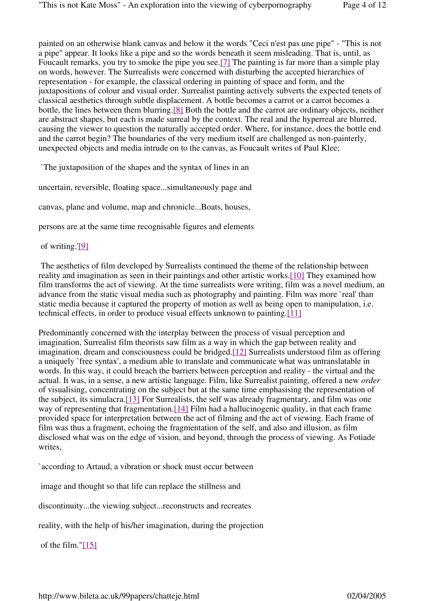painted on an otherwise blank canvas and below it the words "Ceci n'est pas une pipe" - "This is not a pipe" appear. It looks like a pipe and so the words beneath it seem misleading. That is, until, as Foucault remarks, you try to smoke the pipe you see.[7] The painting is far more than a simple play on words, however. The Surrealists were concerned with disturbing the accepted hierarchies of representation - for example, the classical ordering in painting of space and form, and the juxtapositions of colour and visual order. Surrealist painting actively subverts the expected tenets of classical aesthetics through subtle displacement. A bottle becomes a carrot or a carrot becomes a bottle, the lines between them blurring.[8] Both the bottle and the carrot are ordinary objects, neither are abstract shapes, but each is made surreal by the context. The real and the hyperreal are blurred, causing the viewer to question the naturally accepted order. Where, for instance, does the bottle end and the carrot begin? The boundaries of the very medium itself are challenged as non-painterly, unexpected objects and media intrude on to the canvas, as Foucault writes of Paul Klee;

`The juxtaposition of the shapes and the syntax of lines in an

uncertain, reversible, floating space...simultaneously page and

canvas, plane and volume, map and chronicle...Boats, houses,

persons are at the same time recognisable figures and elements

of writing.'[9]

 The aesthetics of film developed by Surrealists continued the theme of the relationship between reality and imagination as seen in their paintings and other artistic works.[10] They examined how film transforms the act of viewing. At the time surrealists were writing, film was a novel medium, an advance from the static visual media such as photography and painting. Film was more `real' than static media because it captured the property of motion as well as being open to manipulation, i.e. technical effects, in order to produce visual effects unknown to painting.[11]

Predominantly concerned with the interplay between the process of visual perception and imagination, Surrealist film theorists saw film as a way in which the gap between reality and imagination, dream and consciousness could be bridged.[12] Surrealists understood film as offering a uniquely `free syntax', a medium able to translate and communicate what was untranslatable in words. In this way, it could breach the barriers between perception and reality - the virtual and the actual. It was, in a sense, a new artistic language. Film, like Surrealist painting, offered a new *order*  of visualising, concentrating on the subject but at the same time emphasising the representation of the subject, its simulacra.[13] For Surrealists, the self was already fragmentary, and film was one way of representing that fragmentation.[14] Film had a hallucinogenic quality, in that each frame provided space for interpretation between the act of filming and the act of viewing. Each frame of film was thus a fragment, echoing the fragmentation of the self, and also and illusion, as film disclosed what was on the edge of vision, and beyond, through the process of viewing. As Fotiade writes,

`according to Artaud, a vibration or shock must occur between

image and thought so that life can replace the stillness and

discontinuity...the viewing subject...reconstructs and recreates

reality, with the help of his/her imagination, during the projection

of the film." $[15]$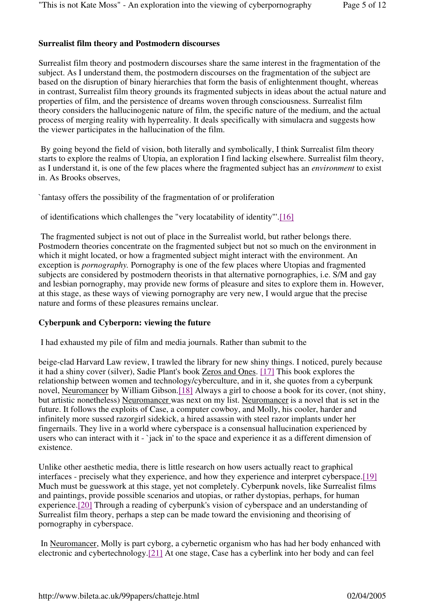# **Surrealist film theory and Postmodern discourses**

Surrealist film theory and postmodern discourses share the same interest in the fragmentation of the subject. As I understand them, the postmodern discourses on the fragmentation of the subject are based on the disruption of binary hierarchies that form the basis of enlightenment thought, whereas in contrast, Surrealist film theory grounds its fragmented subjects in ideas about the actual nature and properties of film, and the persistence of dreams woven through consciousness. Surrealist film theory considers the hallucinogenic nature of film, the specific nature of the medium, and the actual process of merging reality with hyperreality. It deals specifically with simulacra and suggests how the viewer participates in the hallucination of the film.

 By going beyond the field of vision, both literally and symbolically, I think Surrealist film theory starts to explore the realms of Utopia, an exploration I find lacking elsewhere. Surrealist film theory, as I understand it, is one of the few places where the fragmented subject has an *environment* to exist in. As Brooks observes,

`fantasy offers the possibility of the fragmentation of or proliferation

of identifications which challenges the "very locatability of identity"'.[16]

 The fragmented subject is not out of place in the Surrealist world, but rather belongs there. Postmodern theories concentrate on the fragmented subject but not so much on the environment in which it might located, or how a fragmented subject might interact with the environment. An exception is *pornography.* Pornography is one of the few places where Utopias and fragmented subjects are considered by postmodern theorists in that alternative pornographies, i.e. S/M and gay and lesbian pornography, may provide new forms of pleasure and sites to explore them in. However, at this stage, as these ways of viewing pornography are very new, I would argue that the precise nature and forms of these pleasures remains unclear.

#### **Cyberpunk and Cyberporn: viewing the future**

I had exhausted my pile of film and media journals. Rather than submit to the

beige-clad Harvard Law review, I trawled the library for new shiny things. I noticed, purely because it had a shiny cover (silver), Sadie Plant's book Zeros and Ones. [17] This book explores the relationship between women and technology/cyberculture, and in it, she quotes from a cyberpunk novel, Neuromancer by William Gibson.[18] Always a girl to choose a book for its cover, (not shiny, but artistic nonetheless) Neuromancer was next on my list. Neuromancer is a novel that is set in the future. It follows the exploits of Case, a computer cowboy, and Molly, his cooler, harder and infinitely more sussed razorgirl sidekick, a hired assassin with steel razor implants under her fingernails. They live in a world where cyberspace is a consensual hallucination experienced by users who can interact with it - 'jack in' to the space and experience it as a different dimension of existence.

Unlike other aesthetic media, there is little research on how users actually react to graphical interfaces - precisely what they experience, and how they experience and interpret cyberspace.[19] Much must be guesswork at this stage, yet not completely. Cyberpunk novels, like Surrealist films and paintings, provide possible scenarios and utopias, or rather dystopias, perhaps, for human experience.[20] Through a reading of cyberpunk's vision of cyberspace and an understanding of Surrealist film theory, perhaps a step can be made toward the envisioning and theorising of pornography in cyberspace.

 In Neuromancer, Molly is part cyborg, a cybernetic organism who has had her body enhanced with electronic and cybertechnology.[21] At one stage, Case has a cyberlink into her body and can feel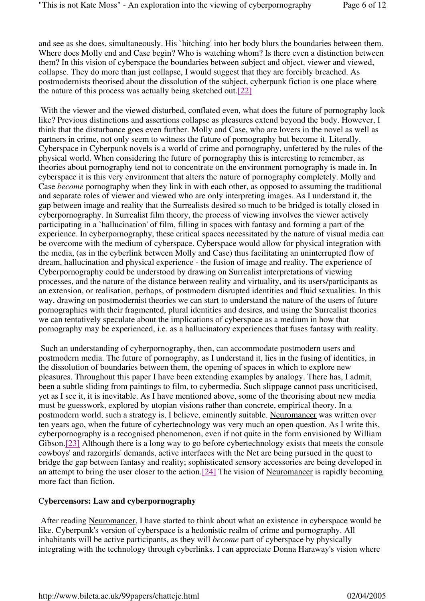and see as she does, simultaneously. His `hitching' into her body blurs the boundaries between them. Where does Molly end and Case begin? Who is watching whom? Is there even a distinction between them? In this vision of cyberspace the boundaries between subject and object, viewer and viewed, collapse. They do more than just collapse, I would suggest that they are forcibly breached. As postmodernists theorised about the dissolution of the subject, cyberpunk fiction is one place where the nature of this process was actually being sketched out.[22]

With the viewer and the viewed disturbed, conflated even, what does the future of pornography look like? Previous distinctions and assertions collapse as pleasures extend beyond the body. However, I think that the disturbance goes even further. Molly and Case, who are lovers in the novel as well as partners in crime, not only seem to witness the future of pornography but become it. Literally. Cyberspace in Cyberpunk novels is a world of crime and pornography, unfettered by the rules of the physical world. When considering the future of pornography this is interesting to remember, as theories about pornography tend not to concentrate on the environment pornography is made in. In cyberspace it is this very environment that alters the nature of pornography completely. Molly and Case *become* pornography when they link in with each other, as opposed to assuming the traditional and separate roles of viewer and viewed who are only interpreting images. As I understand it, the gap between image and reality that the Surrealists desired so much to be bridged is totally closed in cyberpornography. In Surrealist film theory, the process of viewing involves the viewer actively participating in a `hallucination' of film, filling in spaces with fantasy and forming a part of the experience. In cyberpornography, these critical spaces necessitated by the nature of visual media can be overcome with the medium of cyberspace. Cyberspace would allow for physical integration with the media, (as in the cyberlink between Molly and Case) thus facilitating an uninterrupted flow of dream, hallucination and physical experience - the fusion of image and reality. The experience of Cyberpornography could be understood by drawing on Surrealist interpretations of viewing processes, and the nature of the distance between reality and virtuality, and its users/participants as an extension, or realisation, perhaps, of postmodern disrupted identities and fluid sexualities. In this way, drawing on postmodernist theories we can start to understand the nature of the users of future pornographies with their fragmented, plural identities and desires, and using the Surrealist theories we can tentatively speculate about the implications of cyberspace as a medium in how that pornography may be experienced, i.e. as a hallucinatory experiences that fuses fantasy with reality.

 Such an understanding of cyberpornography, then, can accommodate postmodern users and postmodern media. The future of pornography, as I understand it, lies in the fusing of identities, in the dissolution of boundaries between them, the opening of spaces in which to explore new pleasures. Throughout this paper I have been extending examples by analogy. There has, I admit, been a subtle sliding from paintings to film, to cybermedia. Such slippage cannot pass uncriticised, yet as I see it, it is inevitable. As I have mentioned above, some of the theorising about new media must be guesswork, explored by utopian visions rather than concrete, empirical theory. In a postmodern world, such a strategy is, I believe, eminently suitable. Neuromancer was written over ten years ago, when the future of cybertechnology was very much an open question. As I write this, cyberpornography is a recognised phenomenon, even if not quite in the form envisioned by William Gibson.[23] Although there is a long way to go before cybertechnology exists that meets the console cowboys' and razorgirls' demands, active interfaces with the Net are being pursued in the quest to bridge the gap between fantasy and reality; sophisticated sensory accessories are being developed in an attempt to bring the user closer to the action.[24] The vision of Neuromancer is rapidly becoming more fact than fiction.

#### C**ybercensors: Law and cyberpornography**

 After reading Neuromancer, I have started to think about what an existence in cyberspace would be like. Cyberpunk's version of cyberspace is a hedonistic realm of crime and pornography. All inhabitants will be active participants, as they will *become* part of cyberspace by physically integrating with the technology through cyberlinks. I can appreciate Donna Haraway's vision where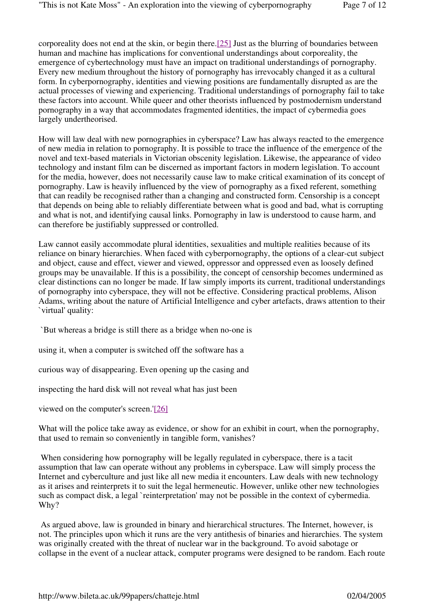corporeality does not end at the skin, or begin there.[25] Just as the blurring of boundaries between human and machine has implications for conventional understandings about corporeality, the emergence of cybertechnology must have an impact on traditional understandings of pornography. Every new medium throughout the history of pornography has irrevocably changed it as a cultural form. In cyberpornography, identities and viewing positions are fundamentally disrupted as are the actual processes of viewing and experiencing. Traditional understandings of pornography fail to take these factors into account. While queer and other theorists influenced by postmodernism understand pornography in a way that accommodates fragmented identities, the impact of cybermedia goes largely undertheorised.

How will law deal with new pornographies in cyberspace? Law has always reacted to the emergence of new media in relation to pornography. It is possible to trace the influence of the emergence of the novel and text-based materials in Victorian obscenity legislation. Likewise, the appearance of video technology and instant film can be discerned as important factors in modern legislation. To account for the media, however, does not necessarily cause law to make critical examination of its concept of pornography. Law is heavily influenced by the view of pornography as a fixed referent, something that can readily be recognised rather than a changing and constructed form. Censorship is a concept that depends on being able to reliably differentiate between what is good and bad, what is corrupting and what is not, and identifying causal links. Pornography in law is understood to cause harm, and can therefore be justifiably suppressed or controlled.

Law cannot easily accommodate plural identities, sexualities and multiple realities because of its reliance on binary hierarchies. When faced with cyberpornography, the options of a clear-cut subject and object, cause and effect, viewer and viewed, oppressor and oppressed even as loosely defined groups may be unavailable. If this is a possibility, the concept of censorship becomes undermined as clear distinctions can no longer be made. If law simply imports its current, traditional understandings of pornography into cyberspace, they will not be effective. Considering practical problems, Alison Adams, writing about the nature of Artificial Intelligence and cyber artefacts, draws attention to their `virtual' quality:

`But whereas a bridge is still there as a bridge when no-one is

using it, when a computer is switched off the software has a

curious way of disappearing. Even opening up the casing and

inspecting the hard disk will not reveal what has just been

viewed on the computer's screen.'[26]

What will the police take away as evidence, or show for an exhibit in court, when the pornography, that used to remain so conveniently in tangible form, vanishes?

When considering how pornography will be legally regulated in cyberspace, there is a tacit assumption that law can operate without any problems in cyberspace. Law will simply process the Internet and cyberculture and just like all new media it encounters. Law deals with new technology as it arises and reinterprets it to suit the legal hermeneutic. However, unlike other new technologies such as compact disk, a legal `reinterpretation' may not be possible in the context of cybermedia. Why?

 As argued above, law is grounded in binary and hierarchical structures. The Internet, however, is not. The principles upon which it runs are the very antithesis of binaries and hierarchies. The system was originally created with the threat of nuclear war in the background. To avoid sabotage or collapse in the event of a nuclear attack, computer programs were designed to be random. Each route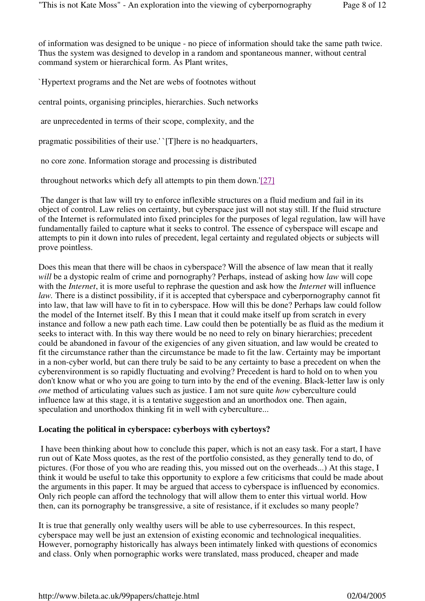of information was designed to be unique - no piece of information should take the same path twice. Thus the system was designed to develop in a random and spontaneous manner, without central command system or hierarchical form. As Plant writes,

`Hypertext programs and the Net are webs of footnotes without

central points, organising principles, hierarchies. Such networks

are unprecedented in terms of their scope, complexity, and the

pragmatic possibilities of their use.' `[T]here is no headquarters,

no core zone. Information storage and processing is distributed

throughout networks which defy all attempts to pin them down.'[27]

 The danger is that law will try to enforce inflexible structures on a fluid medium and fail in its object of control. Law relies on certainty, but cyberspace just will not stay still. If the fluid structure of the Internet is reformulated into fixed principles for the purposes of legal regulation, law will have fundamentally failed to capture what it seeks to control. The essence of cyberspace will escape and attempts to pin it down into rules of precedent, legal certainty and regulated objects or subjects will prove pointless.

Does this mean that there will be chaos in cyberspace? Will the absence of law mean that it really *will* be a dystopic realm of crime and pornography? Perhaps, instead of asking how *law* will cope with the *Internet*, it is more useful to rephrase the question and ask how the *Internet* will influence *law.* There is a distinct possibility, if it is accepted that cyberspace and cyberpornography cannot fit into law, that law will have to fit in to cyberspace. How will this be done? Perhaps law could follow the model of the Internet itself. By this I mean that it could make itself up from scratch in every instance and follow a new path each time. Law could then be potentially be as fluid as the medium it seeks to interact with. In this way there would be no need to rely on binary hierarchies; precedent could be abandoned in favour of the exigencies of any given situation, and law would be created to fit the circumstance rather than the circumstance be made to fit the law. Certainty may be important in a non-cyber world, but can there truly be said to be any certainty to base a precedent on when the cyberenvironment is so rapidly fluctuating and evolving? Precedent is hard to hold on to when you don't know what or who you are going to turn into by the end of the evening. Black-letter law is only *one* method of articulating values such as justice. I am not sure quite *how* cyberculture could influence law at this stage, it is a tentative suggestion and an unorthodox one. Then again, speculation and unorthodox thinking fit in well with cyberculture...

#### **Locating the political in cyberspace: cyberboys with cybertoys?**

 I have been thinking about how to conclude this paper, which is not an easy task. For a start, I have run out of Kate Moss quotes, as the rest of the portfolio consisted, as they generally tend to do, of pictures. (For those of you who are reading this, you missed out on the overheads...) At this stage, I think it would be useful to take this opportunity to explore a few criticisms that could be made about the arguments in this paper. It may be argued that access to cyberspace is influenced by economics. Only rich people can afford the technology that will allow them to enter this virtual world. How then, can its pornography be transgressive, a site of resistance, if it excludes so many people?

It is true that generally only wealthy users will be able to use cyberresources. In this respect, cyberspace may well be just an extension of existing economic and technological inequalities. However, pornography historically has always been intimately linked with questions of economics and class. Only when pornographic works were translated, mass produced, cheaper and made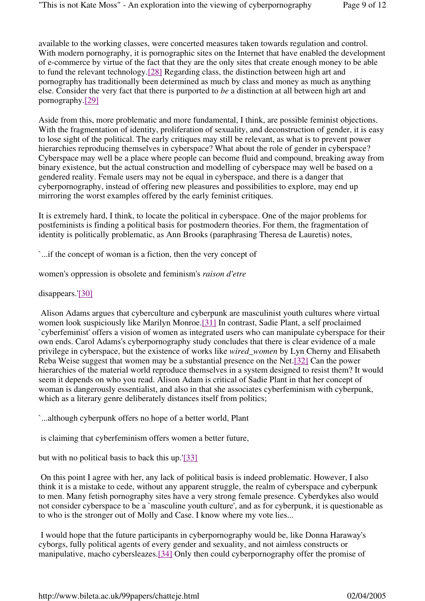available to the working classes, were concerted measures taken towards regulation and control. With modern pornography, it is pornographic sites on the Internet that have enabled the development of e-commerce by virtue of the fact that they are the only sites that create enough money to be able to fund the relevant technology.[28] Regarding class, the distinction between high art and pornography has traditionally been determined as much by class and money as much as anything else. Consider the very fact that there is purported to *be* a distinction at all between high art and pornography.[29]

Aside from this, more problematic and more fundamental, I think, are possible feminist objections. With the fragmentation of identity, proliferation of sexuality, and deconstruction of gender, it is easy to lose sight of the political. The early critiques may still be relevant, as what is to prevent power hierarchies reproducing themselves in cyberspace? What about the role of gender in cyberspace? Cyberspace may well be a place where people can become fluid and compound, breaking away from binary existence, but the actual construction and modelling of cyberspace may well be based on a gendered reality. Female users may not be equal in cyberspace, and there is a danger that cyberpornography, instead of offering new pleasures and possibilities to explore, may end up mirroring the worst examples offered by the early feminist critiques.

It is extremely hard, I think, to locate the political in cyberspace. One of the major problems for postfeminists is finding a political basis for postmodern theories. For them, the fragmentation of identity is politically problematic, as Ann Brooks (paraphrasing Theresa de Lauretis) notes,

`...if the concept of woman is a fiction, then the very concept of

women's oppression is obsolete and feminism's *raison d'etre*

disappears.'[30]

 Alison Adams argues that cyberculture and cyberpunk are masculinist youth cultures where virtual women look suspiciously like Marilyn Monroe.[31] In contrast, Sadie Plant, a self proclaimed `cyberfeminist' offers a vision of women as integrated users who can manipulate cyberspace for their own ends. Carol Adams's cyberpornography study concludes that there is clear evidence of a male privilege in cyberspace, but the existence of works like *wired\_women* by Lyn Cherny and Elisabeth Reba Weise suggest that women may be a substantial presence on the Net.[32] Can the power hierarchies of the material world reproduce themselves in a system designed to resist them? It would seem it depends on who you read. Alison Adam is critical of Sadie Plant in that her concept of woman is dangerously essentialist, and also in that she associates cyberfeminism with cyberpunk, which as a literary genre deliberately distances itself from politics;

`...although cyberpunk offers no hope of a better world, Plant

is claiming that cyberfeminism offers women a better future,

but with no political basis to back this up.'[33]

 On this point I agree with her, any lack of political basis is indeed problematic. However, I also think it is a mistake to cede, without any apparent struggle, the realm of cyberspace and cyberpunk to men. Many fetish pornography sites have a very strong female presence. Cyberdykes also would not consider cyberspace to be a `masculine youth culture', and as for cyberpunk, it is questionable as to who is the stronger out of Molly and Case. I know where my vote lies...

 I would hope that the future participants in cyberpornography would be, like Donna Haraway's cyborgs, fully political agents of every gender and sexuality, and not aimless constructs or manipulative, macho cybersleazes.[34] Only then could cyberpornography offer the promise of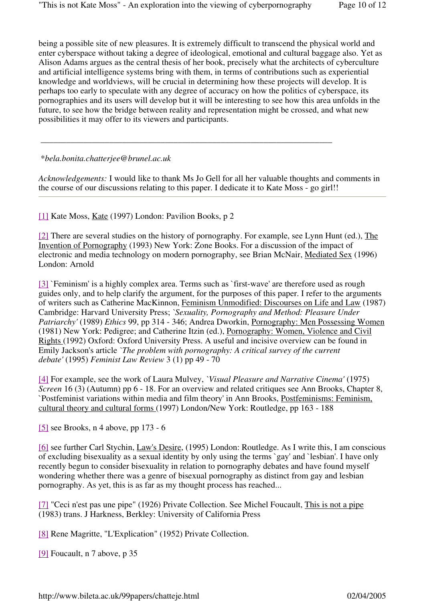being a possible site of new pleasures. It is extremely difficult to transcend the physical world and enter cyberspace without taking a degree of ideological, emotional and cultural baggage also. Yet as Alison Adams argues as the central thesis of her book, precisely what the architects of cyberculture and artificial intelligence systems bring with them, in terms of contributions such as experiential knowledge and worldviews, will be crucial in determining how these projects will develop. It is perhaps too early to speculate with any degree of accuracy on how the politics of cyberspace, its pornographies and its users will develop but it will be interesting to see how this area unfolds in the future, to see how the bridge between reality and representation might be crossed, and what new possibilities it may offer to its viewers and participants.

#### \**bela.bonita.chatterjee@brunel.ac.uk*

*Acknowledgements:* I would like to thank Ms Jo Gell for all her valuable thoughts and comments in the course of our discussions relating to this paper. I dedicate it to Kate Moss - go girl!!

\_\_\_\_\_\_\_\_\_\_\_\_\_\_\_\_\_\_\_\_\_\_\_\_\_\_\_\_\_\_\_\_\_\_\_\_\_\_\_\_\_\_\_\_\_\_\_\_\_\_\_\_\_\_\_\_\_\_\_\_\_\_\_\_\_\_\_\_

[1] Kate Moss, Kate (1997) London: Pavilion Books, p 2

[2] There are several studies on the history of pornography. For example, see Lynn Hunt (ed.), The Invention of Pornography (1993) New York: Zone Books. For a discussion of the impact of electronic and media technology on modern pornography, see Brian McNair, Mediated Sex (1996) London: Arnold

[3] `Feminism' is a highly complex area. Terms such as `first-wave' are therefore used as rough guides only, and to help clarify the argument, for the purposes of this paper. I refer to the arguments of writers such as Catherine MacKinnon, Feminism Unmodified: Discourses on Life and Law (1987) Cambridge: Harvard University Press; *`Sexuality, Pornography and Method: Pleasure Under Patriarchy'* (1989) *Ethics* 99, pp 314 - 346; Andrea Dworkin, Pornography: Men Possessing Women (1981) New York: Pedigree; and Catherine Itzin (ed.), Pornography: Women, Violence and Civil Rights (1992) Oxford: Oxford University Press. A useful and incisive overview can be found in Emily Jackson's article *`The problem with pornography: A critical survey of the current debate'* (1995) *Feminist Law Review* 3 (1) pp 49 - 70

[4] For example, see the work of Laura Mulvey, *`Visual Pleasure and Narrative Cinema'* (1975) *Screen* 16 (3) (Autumn) pp 6 - 18. For an overview and related critiques see Ann Brooks, Chapter 8, `Postfeminist variations within media and film theory' in Ann Brooks, Postfeminisms: Feminism, cultural theory and cultural forms (1997) London/New York: Routledge, pp 163 - 188

[5] see Brooks, n 4 above, pp 173 - 6

[6] see further Carl Stychin, Law's Desire, (1995) London: Routledge. As I write this, I am conscious of excluding bisexuality as a sexual identity by only using the terms `gay' and `lesbian'. I have only recently begun to consider bisexuality in relation to pornography debates and have found myself wondering whether there was a genre of bisexual pornography as distinct from gay and lesbian pornography. As yet, this is as far as my thought process has reached...

[7] "Ceci n'est pas une pipe" (1926) Private Collection. See Michel Foucault, This is not a pipe (1983) trans. J Harkness, Berkley: University of California Press

[8] Rene Magritte, "L'Explication" (1952) Private Collection.

[9] Foucault, n 7 above, p 35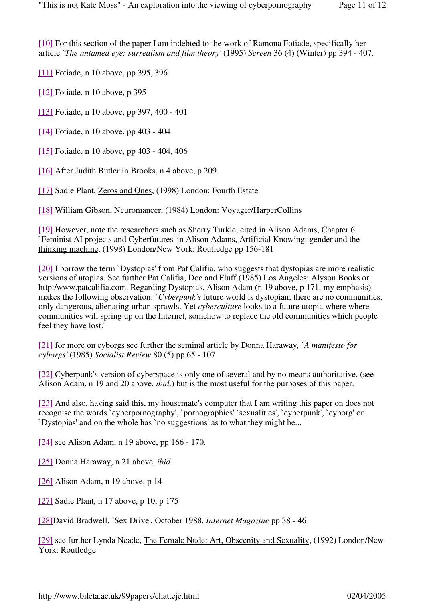[10] For this section of the paper I am indebted to the work of Ramona Fotiade, specifically her article *`The untamed eye: surrealism and film theory'* (1995) *Screen* 36 (4) (Winter) pp 394 - 407.

[11] Fotiade, n 10 above, pp 395, 396

[12] Fotiade, n 10 above, p 395

[13] Fotiade, n 10 above, pp 397, 400 - 401

[14] Fotiade, n 10 above, pp 403 - 404

[15] Fotiade, n 10 above, pp 403 - 404, 406

[16] After Judith Butler in Brooks, n 4 above, p 209.

[17] Sadie Plant, Zeros and Ones, (1998) London: Fourth Estate

[18] William Gibson, Neuromancer, (1984) London: Voyager/HarperCollins

[19] However, note the researchers such as Sherry Turkle, cited in Alison Adams, Chapter 6 `Feminist AI projects and Cyberfutures' in Alison Adams, Artificial Knowing: gender and the thinking machine, (1998) London/New York: Routledge pp 156-181

[20] I borrow the term `Dystopias' from Pat Califia, who suggests that dystopias are more realistic versions of utopias. See further Pat Califia, Doc and Fluff (1985) Los Angeles: Alyson Books or http:/www.patcalifia.com. Regarding Dystopias, Alison Adam (n 19 above, p 171, my emphasis) makes the following observation: *`Cyberpunk's* future world is dystopian; there are no communities, only dangerous, alienating urban sprawls. Yet *cyberculture* looks to a future utopia where where communities will spring up on the Internet, somehow to replace the old communities which people feel they have lost.'

[21] for more on cyborgs see further the seminal article by Donna Haraway*, `A manifesto for cyborgs'* (1985) *Socialist Review* 80 (5) pp 65 - 107

[22] Cyberpunk's version of cyberspace is only one of several and by no means authoritative, (see Alison Adam, n 19 and 20 above, *ibid*.) but is the most useful for the purposes of this paper.

[23] And also, having said this, my housemate's computer that I am writing this paper on does not recognise the words `cyberpornography', `pornographies' `sexualities', `cyberpunk', `cyborg' or `Dystopias' and on the whole has `no suggestions' as to what they might be...

[24] see Alison Adam, n 19 above, pp 166 - 170.

[25] Donna Haraway, n 21 above, *ibid.*

[26] Alison Adam, n 19 above, p 14

[27] Sadie Plant, n 17 above, p 10, p 175

[28]David Bradwell, `Sex Drive', October 1988, *Internet Magazine* pp 38 - 46

[29] see further Lynda Neade, The Female Nude: Art, Obscenity and Sexuality, (1992) London/New York: Routledge